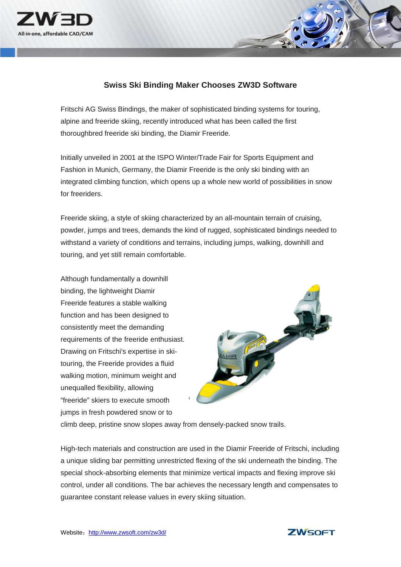

## **Swiss Ski Binding Maker Chooses ZW3D Software**

Fritschi AG Swiss Bindings, the maker of sophisticated binding systems for touring, alpine and freeride skiing, recently introduced what has been called the first thoroughbred freeride ski binding, the Diamir Freeride.

Initially unveiled in 2001 at the ISPO Winter/Trade Fair for Sports Equipment and Fashion in Munich, Germany, the Diamir Freeride is the only ski binding with an integrated climbing function, which opens up a whole new world of possibilities in snow for freeriders.

Freeride skiing, a style of skiing characterized by an all-mountain terrain of cruising, powder, jumps and trees, demands the kind of rugged, sophisticated bindings needed to withstand a variety of conditions and terrains, including jumps, walking, downhill and touring, and yet still remain comfortable.

Although fundamentally a downhill binding, the lightweight Diamir Freeride features a stable walking function and has been designed to consistently meet the demanding requirements of the freeride enthusiast. Drawing on Fritschi's expertise in skitouring, the Freeride provides a fluid walking motion, minimum weight and unequalled flexibility, allowing "freeride" skiers to execute smooth jumps in fresh powdered snow or to



climb deep, pristine snow slopes away from densely-packed snow trails.

High-tech materials and construction are used in the Diamir Freeride of Fritschi, including a unique sliding bar permitting unrestricted flexing of the ski underneath the binding. The special shock-absorbing elements that minimize vertical impacts and flexing improve ski control, under all conditions. The bar achieves the necessary length and compensates to guarantee constant release values in every skiing situation.

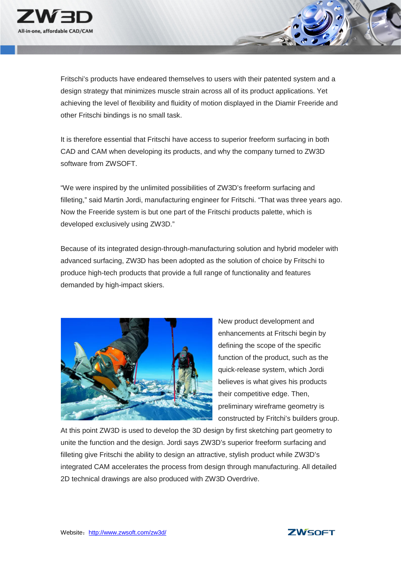

Fritschi's products have endeared themselves to users with their patented system and a design strategy that minimizes muscle strain across all of its product applications. Yet achieving the level of flexibility and fluidity of motion displayed in the Diamir Freeride and other Fritschi bindings is no small task.

It is therefore essential that Fritschi have access to superior freeform surfacing in both CAD and CAM when developing its products, and why the company turned to ZW3D software from ZWSOFT.

"We were inspired by the unlimited possibilities of ZW3D's freeform surfacing and filleting," said Martin Jordi, manufacturing engineer for Fritschi. "That was three years ago. Now the Freeride system is but one part of the Fritschi products palette, which is developed exclusively using ZW3D."

Because of its integrated design-through-manufacturing solution and hybrid modeler with advanced surfacing, ZW3D has been adopted as the solution of choice by Fritschi to produce high-tech products that provide a full range of functionality and features demanded by high-impact skiers.



New product development and enhancements at Fritschi begin by defining the scope of the specific function of the product, such as the quick-release system, which Jordi believes is what gives his products their competitive edge. Then, preliminary wireframe geometry is constructed by Fritchi's builders group.

At this point ZW3D is used to develop the 3D design by first sketching part geometry to unite the function and the design. Jordi says ZW3D's superior freeform surfacing and filleting give Fritschi the ability to design an attractive, stylish product while ZW3D's integrated CAM accelerates the process from design through manufacturing. All detailed 2D technical drawings are also produced with ZW3D Overdrive.